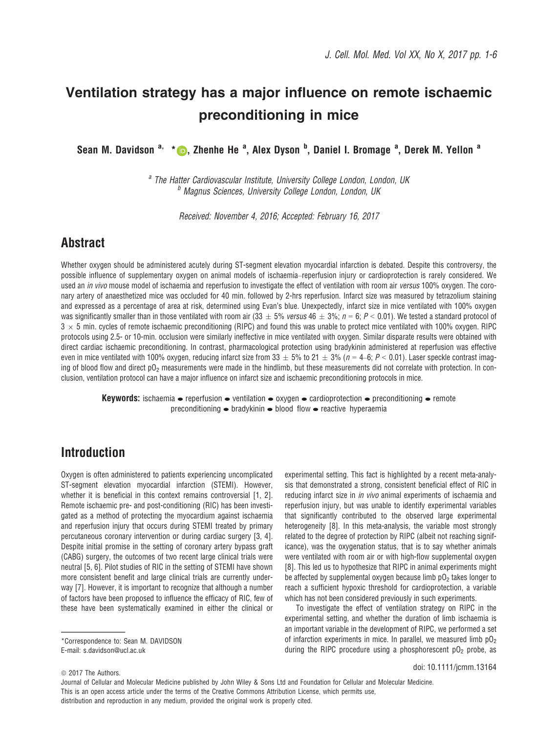# Ventilation strategy has a major influence on remote ischaemic preconditioning in mice

Sean M. Davidson <sup>a,</sup> [\\*](http://orcid.org/0000-0001-5182-4980) <mark>(b</mark>), Zhenhe He <sup>a</sup>, Alex Dyson <sup>b</sup>, Daniel I. Bromage <sup>a</sup>, Derek M. Yellon <sup>a</sup>

<sup>a</sup> The Hatter Cardiovascular Institute, University College London, London, UK **b** Magnus Sciences, University College London, London, UK

Received: November 4, 2016; Accepted: February 16, 2017

### Abstract

Whether oxygen should be administered acutely during ST-segment elevation myocardial infarction is debated. Despite this controversy, the possible influence of supplementary oxygen on animal models of ischaemia–reperfusion injury or cardioprotection is rarely considered. We used an *in vivo* mouse model of ischaemia and reperfusion to investigate the effect of ventilation with room air versus 100% oxygen. The coronary artery of anaesthetized mice was occluded for 40 min. followed by 2-hrs reperfusion. Infarct size was measured by tetrazolium staining and expressed as a percentage of area at risk, determined using Evan's blue. Unexpectedly, infarct size in mice ventilated with 100% oxygen was significantly smaller than in those ventilated with room air (33  $\pm$  5% versus 46  $\pm$  3%; n = 6; P < 0.01). We tested a standard protocol of  $3 \times 5$  min. cycles of remote ischaemic preconditioning (RIPC) and found this was unable to protect mice ventilated with 100% oxygen. RIPC protocols using 2.5- or 10-min. occlusion were similarly ineffective in mice ventilated with oxygen. Similar disparate results were obtained with direct cardiac ischaemic preconditioning. In contrast, pharmacological protection using bradykinin administered at reperfusion was effective even in mice ventilated with 100% oxygen, reducing infarct size from 33  $\pm$  5% to 21  $\pm$  3% (n = 4–6; P < 0.01). Laser speckle contrast imaging of blood flow and direct pO<sub>2</sub> measurements were made in the hindlimb, but these measurements did not correlate with protection. In conclusion, ventilation protocol can have a major influence on infarct size and ischaemic preconditioning protocols in mice.

**Keywords:** ischaemia  $\bullet$  reperfusion  $\bullet$  ventilation  $\bullet$  oxygen  $\bullet$  cardioprotection  $\bullet$  preconditioning  $\bullet$  remote preconditioning  $\bullet$  bradykinin  $\bullet$  blood flow  $\bullet$  reactive hyperaemia

### Introduction

Oxygen is often administered to patients experiencing uncomplicated ST-segment elevation myocardial infarction (STEMI). However, whether it is beneficial in this context remains controversial [1, 2]. Remote ischaemic pre- and post-conditioning (RIC) has been investigated as a method of protecting the myocardium against ischaemia and reperfusion injury that occurs during STEMI treated by primary percutaneous coronary intervention or during cardiac surgery [3, 4]. Despite initial promise in the setting of coronary artery bypass graft (CABG) surgery, the outcomes of two recent large clinical trials were neutral [5, 6]. Pilot studies of RIC in the setting of STEMI have shown more consistent benefit and large clinical trials are currently underway [7]. However, it is important to recognize that although a number of factors have been proposed to influence the efficacy of RIC, few of these have been systematically examined in either the clinical or

\*Correspondence to: Sean M. DAVIDSON E-mail: s.davidson@ucl.ac.uk

experimental setting. This fact is highlighted by a recent meta-analysis that demonstrated a strong, consistent beneficial effect of RIC in reducing infarct size in *in vivo* animal experiments of ischaemia and reperfusion injury, but was unable to identify experimental variables that significantly contributed to the observed large experimental heterogeneity [8]. In this meta-analysis, the variable most strongly related to the degree of protection by RIPC (albeit not reaching significance), was the oxygenation status, that is to say whether animals were ventilated with room air or with high-flow supplemental oxygen [8]. This led us to hypothesize that RIPC in animal experiments might be affected by supplemental oxygen because limb  $p_0$  takes longer to reach a sufficient hypoxic threshold for cardioprotection, a variable which has not been considered previously in such experiments.

To investigate the effect of ventilation strategy on RIPC in the experimental setting, and whether the duration of limb ischaemia is an important variable in the development of RIPC, we performed a set of infarction experiments in mice. In parallel, we measured limb  $pO<sub>2</sub>$ during the RIPC procedure using a phosphorescent  $p_0$  probe, as

doi: 10.1111/jcmm.13164

Journal of Cellular and Molecular Medicine published by John Wiley & Sons Ltd and Foundation for Cellular and Molecular Medicine. This is an open access article under the terms of the [Creative Commons Attribution](http://creativecommons.org/licenses/by/4.0/) License, which permits use, distribution and reproduction in any medium, provided the original work is properly cited.

 $© 2017$  The Authors.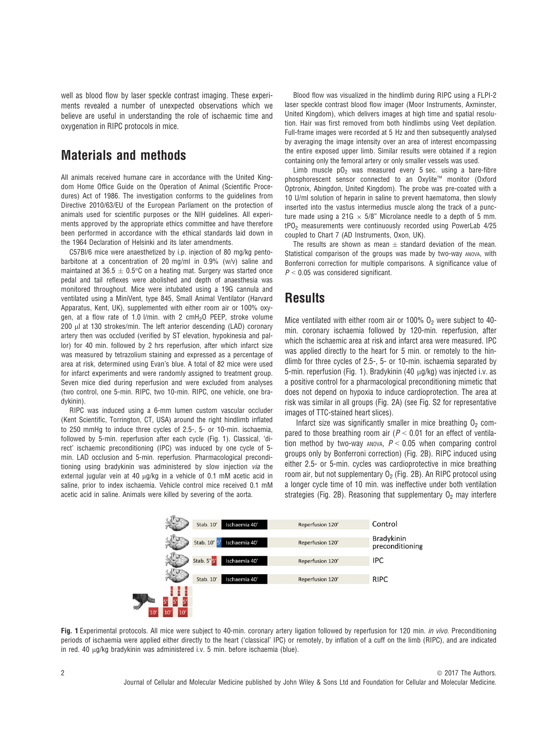well as blood flow by laser speckle contrast imaging. These experiments revealed a number of unexpected observations which we believe are useful in understanding the role of ischaemic time and oxygenation in RIPC protocols in mice.

### Materials and methods

All animals received humane care in accordance with the United Kingdom Home Office Guide on the Operation of Animal (Scientific Procedures) Act of 1986. The investigation conforms to the guidelines from Directive 2010/63/EU of the European Parliament on the protection of animals used for scientific purposes or the NIH guidelines. All experiments approved by the appropriate ethics committee and have therefore been performed in accordance with the ethical standards laid down in the 1964 Declaration of Helsinki and its later amendments.

C57Bl/6 mice were anaesthetized by i.p. injection of 80 mg/kg pentobarbitone at a concentration of 20 mg/ml in 0.9% (w/v) saline and maintained at 36.5  $\pm$  0.5°C on a heating mat. Surgery was started once pedal and tail reflexes were abolished and depth of anaesthesia was monitored throughout. Mice were intubated using a 19G cannula and ventilated using a MiniVent, type 845, Small Animal Ventilator (Harvard Apparatus, Kent, UK), supplemented with either room air or 100% oxygen, at a flow rate of 1.0 l/min. with 2 cmH<sub>2</sub>O PEEP, stroke volume  $200$   $\mu$ l at 130 strokes/min. The left anterior descending (LAD) coronary artery then was occluded (verified by ST elevation, hypokinesia and pallor) for 40 min. followed by 2 hrs reperfusion, after which infarct size was measured by tetrazolium staining and expressed as a percentage of area at risk, determined using Evan's blue. A total of 82 mice were used for infarct experiments and were randomly assigned to treatment group. Seven mice died during reperfusion and were excluded from analyses (two control, one 5-min. RIPC, two 10-min. RIPC, one vehicle, one bradykinin).

RIPC was induced using a 6-mm lumen custom vascular occluder (Kent Scientific, Torrington, CT, USA) around the right hindlimb inflated to 250 mmHg to induce three cycles of 2.5-, 5- or 10-min. ischaemia, followed by 5-min. reperfusion after each cycle (Fig. 1). Classical, 'direct' ischaemic preconditioning (IPC) was induced by one cycle of 5 min. LAD occlusion and 5-min. reperfusion. Pharmacological preconditioning using bradykinin was administered by slow injection via the external jugular vein at 40  $\mu$ g/kg in a vehicle of 0.1 mM acetic acid in saline, prior to index ischaemia. Vehicle control mice received 0.1 mM acetic acid in saline. Animals were killed by severing of the aorta.

Blood flow was visualized in the hindlimb during RIPC using a FLPI-2 laser speckle contrast blood flow imager (Moor Instruments, Axminster, United Kingdom), which delivers images at high time and spatial resolution. Hair was first removed from both hindlimbs using Veet depilation. Full-frame images were recorded at 5 Hz and then subsequently analysed by averaging the image intensity over an area of interest encompassing the entire exposed upper limb. Similar results were obtained if a region containing only the femoral artery or only smaller vessels was used.

Limb muscle  $p0<sub>2</sub>$  was measured every 5 sec. using a bare-fibre phosphorescent sensor connected to an Oxylite™ monitor (Oxford Optronix, Abingdon, United Kingdom). The probe was pre-coated with a 10 U/ml solution of heparin in saline to prevent haematoma, then slowly inserted into the vastus intermedius muscle along the track of a puncture made using a 21G  $\times$  5/8" Microlance needle to a depth of 5 mm. tPO2 measurements were continuously recorded using PowerLab 4/25 coupled to Chart 7 (AD Instruments, Oxon, UK).

The results are shown as mean  $\pm$  standard deviation of the mean. Statistical comparison of the groups was made by two-way ANOVA, with Bonferroni correction for multiple comparisons. A significance value of  $P < 0.05$  was considered significant.

### **Results**

Mice ventilated with either room air or 100%  $0<sub>2</sub>$  were subject to 40min. coronary ischaemia followed by 120-min. reperfusion, after which the ischaemic area at risk and infarct area were measured. IPC was applied directly to the heart for 5 min. or remotely to the hindlimb for three cycles of 2.5-, 5- or 10-min. ischaemia separated by 5-min. reperfusion (Fig. 1). Bradykinin (40 µg/kg) was injected i.v. as a positive control for a pharmacological preconditioning mimetic that does not depend on hypoxia to induce cardioprotection. The area at risk was similar in all groups (Fig. 2A) (see Fig. S2 for representative images of TTC-stained heart slices).

Infarct size was significantly smaller in mice breathing  $O<sub>2</sub>$  compared to those breathing room air ( $P < 0.01$  for an effect of ventilation method by two-way ANOVA,  $P < 0.05$  when comparing control groups only by Bonferroni correction) (Fig. 2B). RIPC induced using either 2.5- or 5-min. cycles was cardioprotective in mice breathing room air, but not supplementary  $O_2$  (Fig. 2B). An RIPC protocol using a longer cycle time of 10 min. was ineffective under both ventilation strategies (Fig. 2B). Reasoning that supplementary  $0<sub>2</sub>$  may interfere



Fig. 1 Experimental protocols. All mice were subject to 40-min. coronary artery ligation followed by reperfusion for 120 min. in vivo. Preconditioning periods of ischaemia were applied either directly to the heart ('classical' IPC) or remotely, by inflation of a cuff on the limb (RIPC), and are indicated in red. 40  $\mu$ g/kg bradykinin was administered i.v. 5 min. before ischaemia (blue).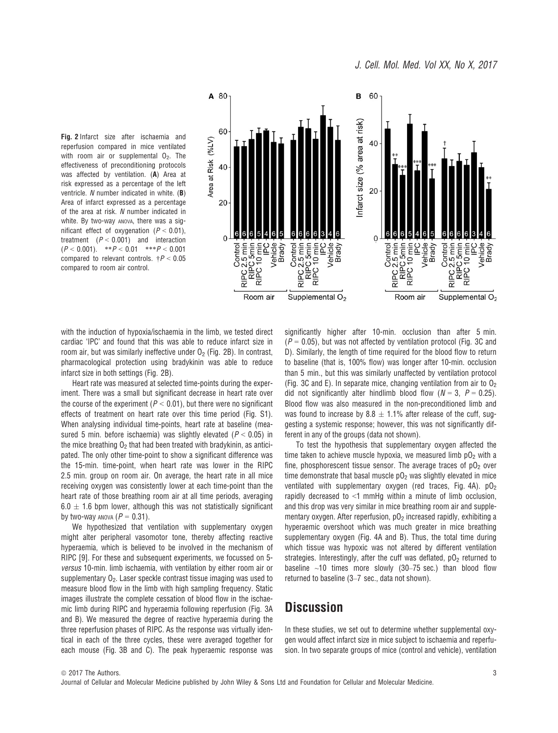



with the induction of hypoxia/ischaemia in the limb, we tested direct cardiac 'IPC' and found that this was able to reduce infarct size in room air, but was similarly ineffective under  $O<sub>2</sub>$  (Fig. 2B). In contrast, pharmacological protection using bradykinin was able to reduce infarct size in both settings (Fig. 2B).

Heart rate was measured at selected time-points during the experiment. There was a small but significant decrease in heart rate over the course of the experiment ( $P < 0.01$ ), but there were no significant effects of treatment on heart rate over this time period (Fig. S1). When analysing individual time-points, heart rate at baseline (measured 5 min. before ischaemia) was slightly elevated ( $P < 0.05$ ) in the mice breathing  $0<sub>2</sub>$  that had been treated with bradykinin, as anticipated. The only other time-point to show a significant difference was the 15-min. time-point, when heart rate was lower in the RIPC 2.5 min. group on room air. On average, the heart rate in all mice receiving oxygen was consistently lower at each time-point than the heart rate of those breathing room air at all time periods, averaging  $6.0 \pm 1.6$  bpm lower, although this was not statistically significant by two-way ANOVA ( $P = 0.31$ ).

We hypothesized that ventilation with supplementary oxygen might alter peripheral vasomotor tone, thereby affecting reactive hyperaemia, which is believed to be involved in the mechanism of RIPC [9]. For these and subsequent experiments, we focussed on 5 versus 10-min. limb ischaemia, with ventilation by either room air or supplementary  $O<sub>2</sub>$ . Laser speckle contrast tissue imaging was used to measure blood flow in the limb with high sampling frequency. Static images illustrate the complete cessation of blood flow in the ischaemic limb during RIPC and hyperaemia following reperfusion (Fig. 3A and B). We measured the degree of reactive hyperaemia during the three reperfusion phases of RIPC. As the response was virtually identical in each of the three cycles, these were averaged together for each mouse (Fig. 3B and C). The peak hyperaemic response was significantly higher after 10-min. occlusion than after 5 min.  $(P = 0.05)$ , but was not affected by ventilation protocol (Fig. 3C and D). Similarly, the length of time required for the blood flow to return to baseline (that is, 100% flow) was longer after 10-min. occlusion than 5 min., but this was similarly unaffected by ventilation protocol (Fig. 3C and E). In separate mice, changing ventilation from air to  $O<sub>2</sub>$ did not significantly alter hindlimb blood flow  $(N = 3, P = 0.25)$ . Blood flow was also measured in the non-preconditioned limb and was found to increase by 8.8  $\pm$  1.1% after release of the cuff, suggesting a systemic response; however, this was not significantly different in any of the groups (data not shown).

To test the hypothesis that supplementary oxygen affected the time taken to achieve muscle hypoxia, we measured limb  $pO<sub>2</sub>$  with a fine, phosphorescent tissue sensor. The average traces of  $pO<sub>2</sub>$  over time demonstrate that basal muscle  $pO<sub>2</sub>$  was slightly elevated in mice ventilated with supplementary oxygen (red traces, Fig. 4A).  $pO<sub>2</sub>$ rapidly decreased to  $\leq 1$  mmHg within a minute of limb occlusion. and this drop was very similar in mice breathing room air and supplementary oxygen. After reperfusion,  $pO<sub>2</sub>$  increased rapidly, exhibiting a hyperaemic overshoot which was much greater in mice breathing supplementary oxygen (Fig. 4A and B). Thus, the total time during which tissue was hypoxic was not altered by different ventilation strategies. Interestingly, after the cuff was deflated,  $pO<sub>2</sub>$  returned to baseline  $~10$  times more slowly (30-75 sec.) than blood flow returned to baseline (3–7 sec., data not shown).

### **Discussion**

In these studies, we set out to determine whether supplemental oxygen would affect infarct size in mice subject to ischaemia and reperfusion. In two separate groups of mice (control and vehicle), ventilation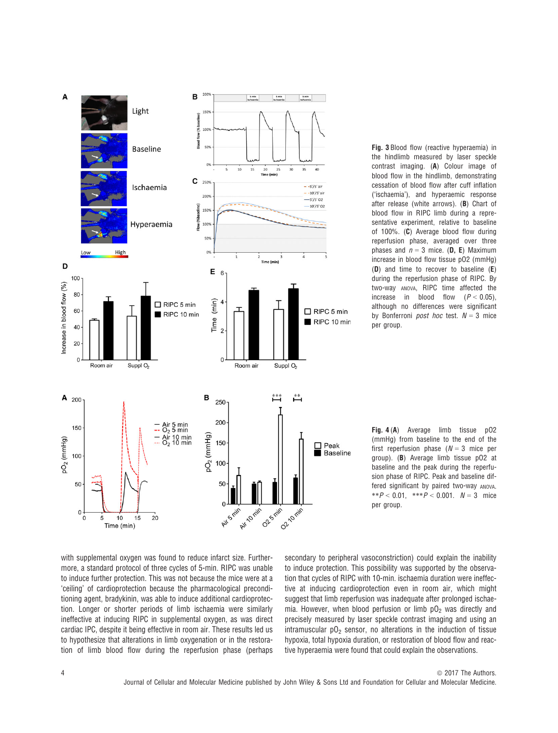

Fig. 3 Blood flow (reactive hyperaemia) in the hindlimb measured by laser speckle contrast imaging. (A) Colour image of blood flow in the hindlimb, demonstrating cessation of blood flow after cuff inflation ('ischaemia'), and hyperaemic response after release (white arrows). (B) Chart of blood flow in RIPC limb during a representative experiment, relative to baseline of 100%. (C) Average blood flow during reperfusion phase, averaged over three phases and  $n = 3$  mice. (**D, E**) Maximum increase in blood flow tissue pO2 (mmHg) (D) and time to recover to baseline (E) during the reperfusion phase of RIPC. By two-way ANOVA, RIPC time affected the increase in blood flow  $(P < 0.05)$ , although no differences were significant by Bonferroni *post hoc* test.  $N = 3$  mice per group.

Fig. 4 (A) Average limb tissue pO2 (mmHg) from baseline to the end of the first reperfusion phase  $(N = 3$  mice per group). (B) Average limb tissue pO2 at baseline and the peak during the reperfusion phase of RIPC. Peak and baseline differed significant by paired two-way ANOVA. \*\* $P < 0.01$ , \*\*\* $P < 0.001$ .  $N = 3$  mice per group.

with supplemental oxygen was found to reduce infarct size. Furthermore, a standard protocol of three cycles of 5-min. RIPC was unable to induce further protection. This was not because the mice were at a 'ceiling' of cardioprotection because the pharmacological preconditioning agent, bradykinin, was able to induce additional cardioprotection. Longer or shorter periods of limb ischaemia were similarly ineffective at inducing RIPC in supplemental oxygen, as was direct cardiac IPC, despite it being effective in room air. These results led us to hypothesize that alterations in limb oxygenation or in the restoration of limb blood flow during the reperfusion phase (perhaps

secondary to peripheral vasoconstriction) could explain the inability to induce protection. This possibility was supported by the observation that cycles of RIPC with 10-min. ischaemia duration were ineffective at inducing cardioprotection even in room air, which might suggest that limb reperfusion was inadequate after prolonged ischaemia. However, when blood perfusion or limb  $pO<sub>2</sub>$  was directly and precisely measured by laser speckle contrast imaging and using an intramuscular  $pO<sub>2</sub>$  sensor, no alterations in the induction of tissue hypoxia, total hypoxia duration, or restoration of blood flow and reactive hyperaemia were found that could explain the observations.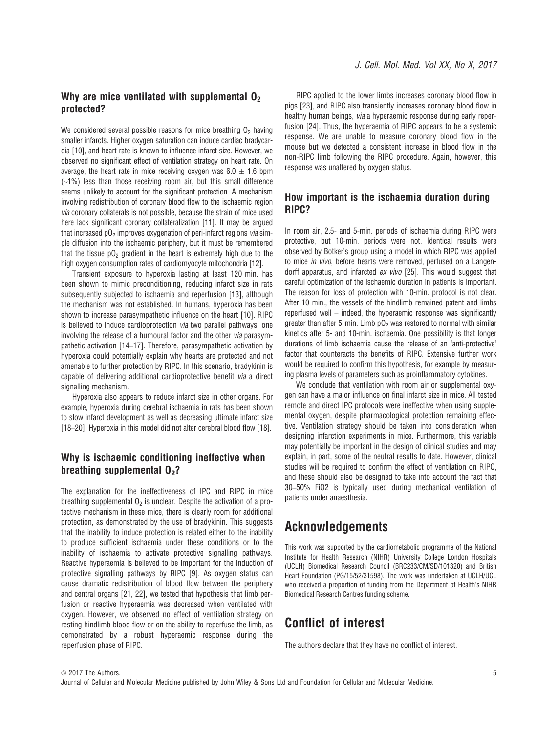### Why are mice ventilated with supplemental  $\mathbf{0}_2$ protected?

We considered several possible reasons for mice breathing  $O<sub>2</sub>$  having smaller infarcts. Higher oxygen saturation can induce cardiac bradycardia [10], and heart rate is known to influence infarct size. However, we observed no significant effect of ventilation strategy on heart rate. On average, the heart rate in mice receiving oxygen was  $6.0 + 1.6$  bpm  $(-1%)$  less than those receiving room air, but this small difference seems unlikely to account for the significant protection. A mechanism involving redistribution of coronary blood flow to the ischaemic region via coronary collaterals is not possible, because the strain of mice used here lack significant coronary collateralization [11]. It may be argued that increased  $pO<sub>2</sub>$  improves oxygenation of peri-infarct regions *via* simple diffusion into the ischaemic periphery, but it must be remembered that the tissue  $p0<sub>2</sub>$  gradient in the heart is extremely high due to the high oxygen consumption rates of cardiomyocyte mitochondria [12].

Transient exposure to hyperoxia lasting at least 120 min. has been shown to mimic preconditioning, reducing infarct size in rats subsequently subjected to ischaemia and reperfusion [13], although the mechanism was not established. In humans, hyperoxia has been shown to increase parasympathetic influence on the heart [10]. RIPC is believed to induce cardioprotection via two parallel pathways, one involving the release of a humoural factor and the other via parasympathetic activation [14–17]. Therefore, parasympathetic activation by hyperoxia could potentially explain why hearts are protected and not amenable to further protection by RIPC. In this scenario, bradykinin is capable of delivering additional cardioprotective benefit via a direct signalling mechanism.

Hyperoxia also appears to reduce infarct size in other organs. For example, hyperoxia during cerebral ischaemia in rats has been shown to slow infarct development as well as decreasing ultimate infarct size [18–20]. Hyperoxia in this model did not alter cerebral blood flow [18].

### Why is ischaemic conditioning ineffective when breathing supplemental  $0<sub>2</sub>$ ?

The explanation for the ineffectiveness of IPC and RIPC in mice breathing supplemental  $O<sub>2</sub>$  is unclear. Despite the activation of a protective mechanism in these mice, there is clearly room for additional protection, as demonstrated by the use of bradykinin. This suggests that the inability to induce protection is related either to the inability to produce sufficient ischaemia under these conditions or to the inability of ischaemia to activate protective signalling pathways. Reactive hyperaemia is believed to be important for the induction of protective signalling pathways by RIPC [9]. As oxygen status can cause dramatic redistribution of blood flow between the periphery and central organs [21, 22], we tested that hypothesis that limb perfusion or reactive hyperaemia was decreased when ventilated with oxygen. However, we observed no effect of ventilation strategy on resting hindlimb blood flow or on the ability to reperfuse the limb, as demonstrated by a robust hyperaemic response during the reperfusion phase of RIPC.

RIPC applied to the lower limbs increases coronary blood flow in pigs [23], and RIPC also transiently increases coronary blood flow in healthy human beings, via a hyperaemic response during early reperfusion [24]. Thus, the hyperaemia of RIPC appears to be a systemic response. We are unable to measure coronary blood flow in the mouse but we detected a consistent increase in blood flow in the non-RIPC limb following the RIPC procedure. Again, however, this response was unaltered by oxygen status.

#### How important is the ischaemia duration during RIPC?

In room air, 2.5- and 5-min. periods of ischaemia during RIPC were protective, but 10-min. periods were not. Identical results were observed by Botker's group using a model in which RIPC was applied to mice in vivo, before hearts were removed, perfused on a Langendorff apparatus, and infarcted ex vivo [25]. This would suggest that careful optimization of the ischaemic duration in patients is important. The reason for loss of protection with 10-min. protocol is not clear. After 10 min., the vessels of the hindlimb remained patent and limbs reperfused well – indeed, the hyperaemic response was significantly greater than after 5 min. Limb  $pO<sub>2</sub>$  was restored to normal with similar kinetics after 5- and 10-min. ischaemia. One possibility is that longer durations of limb ischaemia cause the release of an 'anti-protective' factor that counteracts the benefits of RIPC. Extensive further work would be required to confirm this hypothesis, for example by measuring plasma levels of parameters such as proinflammatory cytokines.

We conclude that ventilation with room air or supplemental oxygen can have a major influence on final infarct size in mice. All tested remote and direct IPC protocols were ineffective when using supplemental oxygen, despite pharmacological protection remaining effective. Ventilation strategy should be taken into consideration when designing infarction experiments in mice. Furthermore, this variable may potentially be important in the design of clinical studies and may explain, in part, some of the neutral results to date. However, clinical studies will be required to confirm the effect of ventilation on RIPC, and these should also be designed to take into account the fact that 30–50% FiO2 is typically used during mechanical ventilation of patients under anaesthesia.

### Acknowledgements

This work was supported by the cardiometabolic programme of the National Institute for Health Research (NIHR) University College London Hospitals (UCLH) Biomedical Research Council (BRC233/CM/SD/101320) and British Heart Foundation (PG/15/52/31598). The work was undertaken at UCLH/UCL who received a proportion of funding from the Department of Health's NIHR Biomedical Research Centres funding scheme.

# Conflict of interest

The authors declare that they have no conflict of interest.